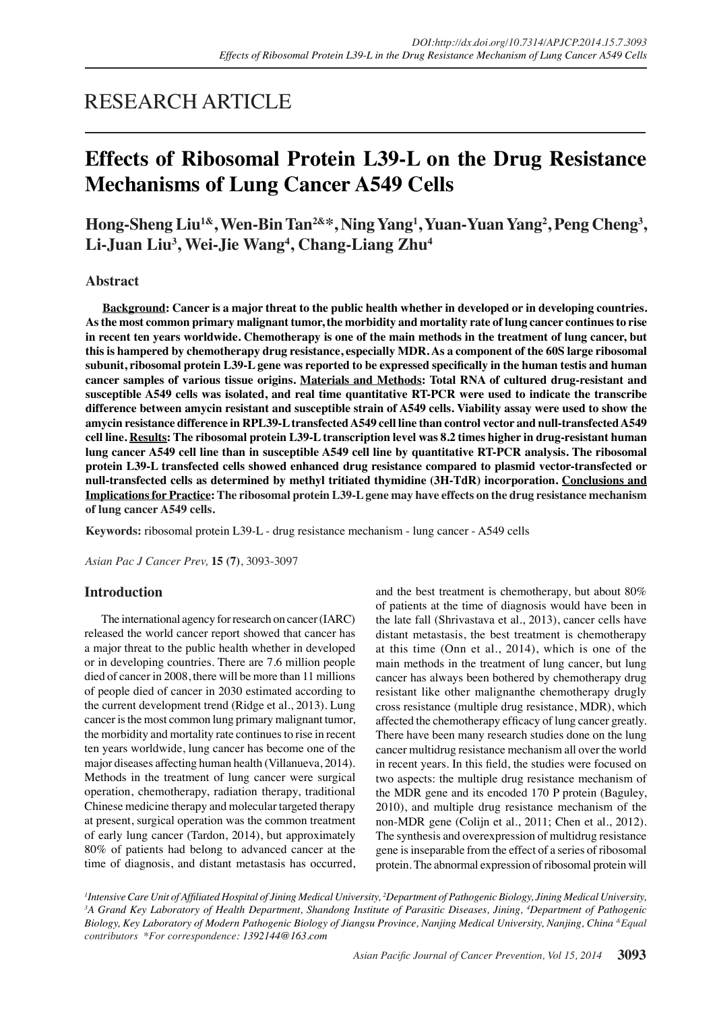# RESEARCH ARTICLE

# **Effects of Ribosomal Protein L39-L on the Drug Resistance Mechanisms of Lung Cancer A549 Cells**

Hong-Sheng Liu<sup>1&</sup>, Wen-Bin Tan<sup>2&</sup>\*, Ning Yang<sup>1</sup>, Yuan-Yuan Yang<sup>2</sup>, Peng Cheng<sup>3</sup>, **Li-Juan Liu3 , Wei-Jie Wang4 , Chang-Liang Zhu4**

## **Abstract**

**Background: Cancer is a major threat to the public health whether in developed or in developing countries. As the most common primary malignant tumor, the morbidity and mortality rate of lung cancer continues to rise in recent ten years worldwide. Chemotherapy is one of the main methods in the treatment of lung cancer, but this is hampered by chemotherapy drug resistance, especially MDR. As a component of the 60S large ribosomal subunit, ribosomal protein L39-L gene was reported to be expressed specifically in the human testis and human cancer samples of various tissue origins. Materials and Methods: Total RNA of cultured drug-resistant and susceptible A549 cells was isolated, and real time quantitative RT-PCR were used to indicate the transcribe difference between amycin resistant and susceptible strain of A549 cells. Viability assay were used to show the amycin resistance difference in RPL39-L transfected A549 cell line than control vector and null-transfected A549 cell line. Results: The ribosomal protein L39-L transcription level was 8.2 times higher in drug-resistant human lung cancer A549 cell line than in susceptible A549 cell line by quantitative RT-PCR analysis. The ribosomal protein L39-L transfected cells showed enhanced drug resistance compared to plasmid vector-transfected or null-transfected cells as determined by methyl tritiated thymidine (3H-TdR) incorporation. Conclusions and Implications for Practice: The ribosomal protein L39-L gene may have effects on the drug resistance mechanism of lung cancer A549 cells.**

**Keywords:** ribosomal protein L39-L - drug resistance mechanism - lung cancer - A549 cells

*Asian Pac J Cancer Prev,* **15 (7)**, 3093-3097

## **Introduction**

The international agency for research on cancer (IARC) released the world cancer report showed that cancer has a major threat to the public health whether in developed or in developing countries. There are 7.6 million people died of cancer in 2008, there will be more than 11 millions of people died of cancer in 2030 estimated according to the current development trend (Ridge et al., 2013). Lung cancer is the most common lung primary malignant tumor, the morbidity and mortality rate continues to rise in recent ten years worldwide, lung cancer has become one of the major diseases affecting human health (Villanueva, 2014). Methods in the treatment of lung cancer were surgical operation, chemotherapy, radiation therapy, traditional Chinese medicine therapy and molecular targeted therapy at present, surgical operation was the common treatment of early lung cancer (Tardon, 2014), but approximately 80% of patients had belong to advanced cancer at the time of diagnosis, and distant metastasis has occurred,

and the best treatment is chemotherapy, but about 80% of patients at the time of diagnosis would have been in the late fall (Shrivastava et al., 2013), cancer cells have distant metastasis, the best treatment is chemotherapy at this time (Onn et al., 2014), which is one of the main methods in the treatment of lung cancer, but lung cancer has always been bothered by chemotherapy drug resistant like other malignanthe chemotherapy drugly cross resistance (multiple drug resistance, MDR), which affected the chemotherapy efficacy of lung cancer greatly. There have been many research studies done on the lung cancer multidrug resistance mechanism all over the world in recent years. In this field, the studies were focused on two aspects: the multiple drug resistance mechanism of the MDR gene and its encoded 170 P protein (Baguley, 2010), and multiple drug resistance mechanism of the non-MDR gene (Colijn et al., 2011; Chen et al., 2012). The synthesis and overexpression of multidrug resistance gene is inseparable from the effect of a series of ribosomal protein. The abnormal expression of ribosomal protein will

<sup>1</sup> Intensive Care Unit of Affiliated Hospital of Jining Medical University, <sup>2</sup>Department of Pathogenic Biology, Jining Medical University, <sup>3</sup>A Grand Key Laboratory of Health Department, Shandong Institute of Parasitic Diseases, Jining, <sup>4</sup>Department of Pathogenic *Biology, Key Laboratory of Modern Pathogenic Biology of Jiangsu Province, Nanjing Medical University, Nanjing, China &Equal contributors \*For correspondence: 1392144@163.com*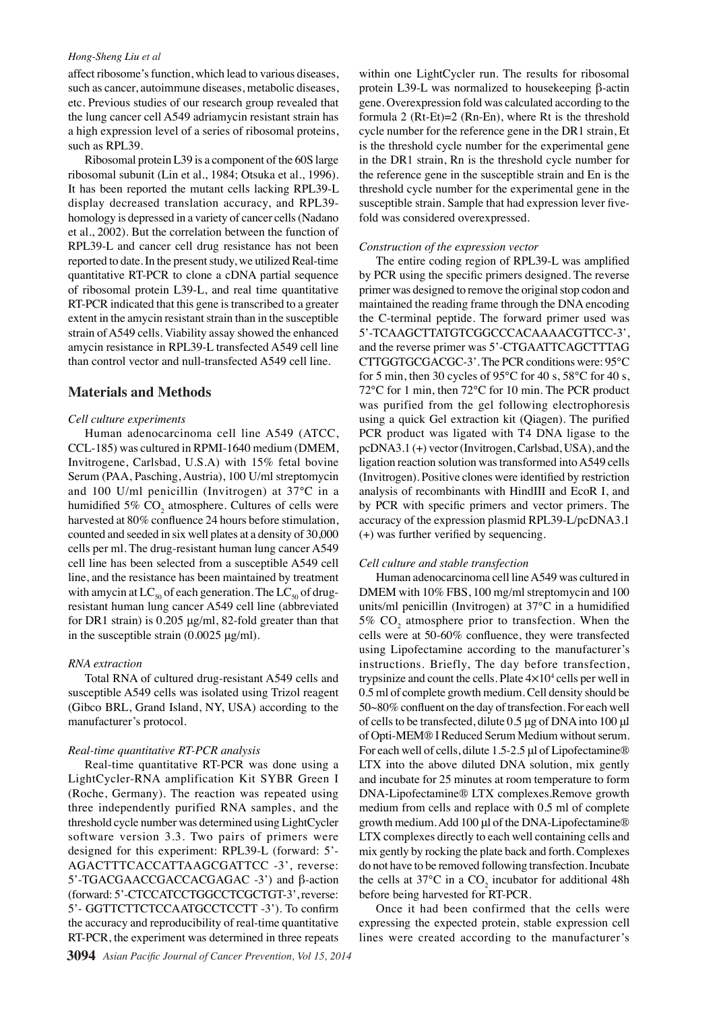#### *Hong-Sheng Liu et al*

affect ribosome's function, which lead to various diseases, such as cancer, autoimmune diseases, metabolic diseases, etc. Previous studies of our research group revealed that the lung cancer cell A549 adriamycin resistant strain has a high expression level of a series of ribosomal proteins, such as RPL39.

Ribosomal protein L39 is a component of the 60S large ribosomal subunit (Lin et al., 1984; Otsuka et al., 1996). It has been reported the mutant cells lacking RPL39-L display decreased translation accuracy, and RPL39 homology is depressed in a variety of cancer cells (Nadano et al., 2002). But the correlation between the function of RPL39-L and cancer cell drug resistance has not been reported to date. In the present study, we utilized Real-time quantitative RT-PCR to clone a cDNA partial sequence of ribosomal protein L39-L, and real time quantitative RT-PCR indicated that this gene is transcribed to a greater extent in the amycin resistant strain than in the susceptible strain of A549 cells. Viability assay showed the enhanced amycin resistance in RPL39-L transfected A549 cell line than control vector and null-transfected A549 cell line.

#### **Materials and Methods**

#### *Cell culture experiments*

Human adenocarcinoma cell line A549 (ATCC, CCL-185) was cultured in RPMI-1640 medium (DMEM, Invitrogene, Carlsbad, U.S.A) with 15% fetal bovine Serum (PAA, Pasching, Austria), 100 U/ml streptomycin and 100 U/ml penicillin (Invitrogen) at 37℃ in a humidified 5%  $\mathrm{CO}_2$  atmosphere. Cultures of cells were harvested at 80% confluence 24 hours before stimulation, counted and seeded in six well plates at a density of 30,000 cells per ml. The drug-resistant human lung cancer A549 cell line has been selected from a susceptible A549 cell line, and the resistance has been maintained by treatment with amycin at  $LC_{50}$  of each generation. The  $LC_{50}$  of drugresistant human lung cancer A549 cell line (abbreviated for DR1 strain) is 0.205 μg/ml, 82-fold greater than that in the susceptible strain (0.0025 μg/ml).

#### *RNA extraction*

Total RNA of cultured drug-resistant A549 cells and susceptible A549 cells was isolated using Trizol reagent (Gibco BRL, Grand Island, NY, USA) according to the manufacturer's protocol.

#### *Real-time quantitative RT-PCR analysis*

Real-time quantitative RT-PCR was done using a LightCycler-RNA amplification Kit SYBR Green I (Roche, Germany). The reaction was repeated using three independently purified RNA samples, and the threshold cycle number was determined using LightCycler software version 3.3. Two pairs of primers were designed for this experiment: RPL39-L (forward: 5'- AGACTTTCACCATTAAGCGATTCC -3', reverse: 5'-TGACGAACCGACCACGAGAC -3') and β-action (forward: 5'-CTCCATCCTGGCCTCGCTGT-3', reverse: 5'- GGTTCTTCTCCAATGCCTCCTT -3'). To confirm the accuracy and reproducibility of real-time quantitative RT-PCR, the experiment was determined in three repeats

within one LightCycler run. The results for ribosomal protein L39-L was normalized to housekeeping β-actin gene. Overexpression fold was calculated according to the formula 2  $(Rt-Et)=2 (Rn-En)$ , where Rt is the threshold cycle number for the reference gene in the DR1 strain, Et is the threshold cycle number for the experimental gene in the DR1 strain, Rn is the threshold cycle number for the reference gene in the susceptible strain and En is the threshold cycle number for the experimental gene in the susceptible strain. Sample that had expression lever fivefold was considered overexpressed.

## *Construction of the expression vector*

The entire coding region of RPL39-L was amplified by PCR using the specific primers designed. The reverse primer was designed to remove the original stop codon and maintained the reading frame through the DNA encoding the C-terminal peptide. The forward primer used was 5'-TCAAGCTTATGTCGGCCCACAAAACGTTCC-3', and the reverse primer was 5'-CTGAATTCAGCTTTAG CTTGGTGCGACGC-3'. The PCR conditions were: 95℃ for 5 min, then 30 cycles of 95℃ for 40 s, 58℃ for 40 s, 72℃ for 1 min, then 72℃ for 10 min. The PCR product was purified from the gel following electrophoresis using a quick Gel extraction kit (Qiagen). The purified PCR product was ligated with T4 DNA ligase to the pcDNA3.1 (+) vector (Invitrogen, Carlsbad, USA), and the ligation reaction solution was transformed into A549 cells (Invitrogen). Positive clones were identified by restriction analysis of recombinants with HindⅢ and EcoR I, and by PCR with specific primers and vector primers. The accuracy of the expression plasmid RPL39-L/pcDNA3.1 (+) was further verified by sequencing.

## *Cell culture and stable transfection*

Human adenocarcinoma cell line A549 was cultured in DMEM with 10% FBS, 100 mg/ml streptomycin and 100 units/ml penicillin (Invitrogen) at 37℃ in a humidified 5%  $CO<sub>2</sub>$  atmosphere prior to transfection. When the cells were at 50-60% confluence, they were transfected using Lipofectamine according to the manufacturer's instructions. Briefly, The day before transfection, trypsinize and count the cells. Plate  $4\times10^4$  cells per well in 0.5 ml of complete growth medium. Cell density should be 50~80% confluent on the day of transfection. For each well of cells to be transfected, dilute 0.5 μg of DNA into 100 μl of Opti-MEM® I Reduced Serum Medium without serum. For each well of cells, dilute 1.5-2.5 μl of Lipofectamine® LTX into the above diluted DNA solution, mix gently and incubate for 25 minutes at room temperature to form DNA-Lipofectamine® LTX complexes.Remove growth medium from cells and replace with 0.5 ml of complete growth medium. Add 100 μl of the DNA-Lipofectamine® LTX complexes directly to each well containing cells and mix gently by rocking the plate back and forth. Complexes do not have to be removed following transfection. Incubate the cells at  $37^{\circ}$ C in a CO<sub>2</sub> incubator for additional 48h before being harvested for RT-PCR.

Once it had been confirmed that the cells were expressing the expected protein, stable expression cell lines were created according to the manufacturer's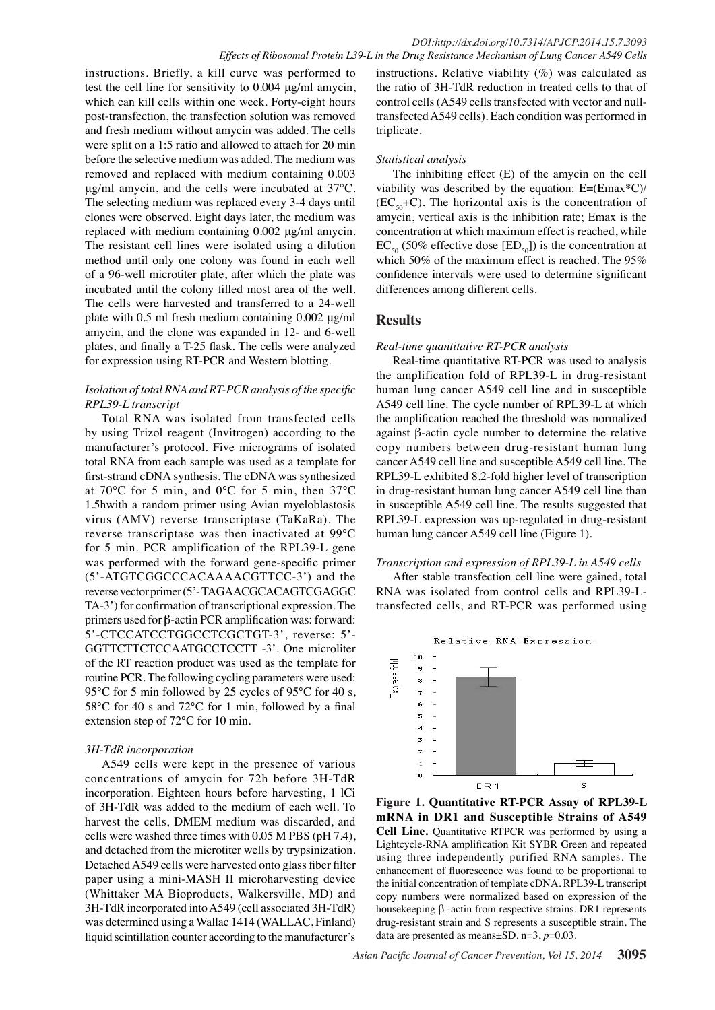instructions. Briefly, a kill curve was performed to test the cell line for sensitivity to 0.004 μg/ml amycin, which can kill cells within one week. Forty-eight hours post-transfection, the transfection solution was removed and fresh medium without amycin was added. The cells were split on a 1:5 ratio and allowed to attach for 20 min before the selective medium was added. The medium was removed and replaced with medium containing 0.003 μg/ml amycin, and the cells were incubated at 37℃. The selecting medium was replaced every 3-4 days until clones were observed. Eight days later, the medium was replaced with medium containing 0.002 μg/ml amycin. The resistant cell lines were isolated using a dilution method until only one colony was found in each well of a 96-well microtiter plate, after which the plate was incubated until the colony filled most area of the well. The cells were harvested and transferred to a 24-well plate with 0.5 ml fresh medium containing 0.002 μg/ml amycin, and the clone was expanded in 12- and 6-well plates, and finally a T-25 flask. The cells were analyzed for expression using RT-PCR and Western blotting.

## *Isolation of total RNA and RT-PCR analysis of the specific RPL39-L transcript*

Total RNA was isolated from transfected cells by using Trizol reagent (Invitrogen) according to the manufacturer's protocol. Five micrograms of isolated total RNA from each sample was used as a template for first-strand cDNA synthesis. The cDNA was synthesized at 70℃ for 5 min, and 0℃ for 5 min, then 37℃ 1.5hwith a random primer using Avian myeloblastosis virus (AMV) reverse transcriptase (TaKaRa). The reverse transcriptase was then inactivated at 99℃ for 5 min. PCR amplification of the RPL39-L gene was performed with the forward gene-specific primer (5'-ATGTCGGCCCACAAAACGTTCC-3') and the reverse vector primer (5'- TAGAACGCACAGTCGAGGC TA-3') for confirmation of transcriptional expression. The primers used for β-actin PCR amplification was: forward: 5'-CTCCATCCTGGCCTCGCTGT-3', reverse: 5'- GGTTCTTCTCCAATGCCTCCTT -3'. One microliter of the RT reaction product was used as the template for routine PCR. The following cycling parameters were used: 95 °C for 5 min followed by 25 cycles of 95 °C for 40 s, 58℃ for 40 s and 72℃ for 1 min, followed by a final extension step of 72℃ for 10 min.

## *3H-TdR incorporation*

A549 cells were kept in the presence of various concentrations of amycin for 72h before 3H-TdR incorporation. Eighteen hours before harvesting, 1 lCi of 3H-TdR was added to the medium of each well. To harvest the cells, DMEM medium was discarded, and cells were washed three times with 0.05 M PBS (pH 7.4), and detached from the microtiter wells by trypsinization. Detached A549 cells were harvested onto glass fiber filter paper using a mini-MASH II microharvesting device (Whittaker MA Bioproducts, Walkersville, MD) and 3H-TdR incorporated into A549 (cell associated 3H-TdR) was determined using a Wallac 1414 (WALLAC, Finland) liquid scintillation counter according to the manufacturer's

instructions. Relative viability (%) was calculated as the ratio of 3H-TdR reduction in treated cells to that of control cells (A549 cells transfected with vector and nulltransfected A549 cells). Each condition was performed in triplicate.

## *Statistical analysis*

The inhibiting effect (E) of the amycin on the cell viability was described by the equation: E=(Emax\*C)/  $(EC_{50}+C)$ . The horizontal axis is the concentration of amycin, vertical axis is the inhibition rate; Emax is the concentration at which maximum effect is reached, while  $EC_{50}$  (50% effective dose [ED<sub>50</sub>]) is the concentration at which 50% of the maximum effect is reached. The 95% confidence intervals were used to determine significant differences among different cells.

# **Results**

## *Real-time quantitative RT-PCR analysis*

Real-time quantitative RT-PCR was used to analysis the amplification fold of RPL39-L in drug-resistant human lung cancer A549 cell line and in susceptible A549 cell line. The cycle number of RPL39-L at which the amplification reached the threshold was normalized against β-actin cycle number to determine the relative copy numbers between drug-resistant human lung cancer A549 cell line and susceptible A549 cell line. The RPL39-L exhibited 8.2-fold higher level of transcription in drug-resistant human lung cancer A549 cell line than in susceptible A549 cell line. The results suggested that RPL39-L expression was up-regulated in drug-resistant human lung cancer A549 cell line (Figure 1).

## *Transcription and expression of RPL39-L in A549 cells*

After stable transfection cell line were gained, total RNA was isolated from control cells and RPL39-Ltransfected cells, and RT-PCR was performed using



**Figure 1. Quantitative RT-PCR Assay of RPL39-L mRNA in DR1 and Susceptible Strains of A549 Cell Line.** Quantitative RTPCR was performed by using a Lightcycle-RNA amplification Kit SYBR Green and repeated using three independently purified RNA samples. The enhancement of fluorescence was found to be proportional to the initial concentration of template cDNA. RPL39-L transcript copy numbers were normalized based on expression of the housekeeping β -actin from respective strains. DR1 represents drug-resistant strain and S represents a susceptible strain. The data are presented as means±SD. n=3, *p*=0.03.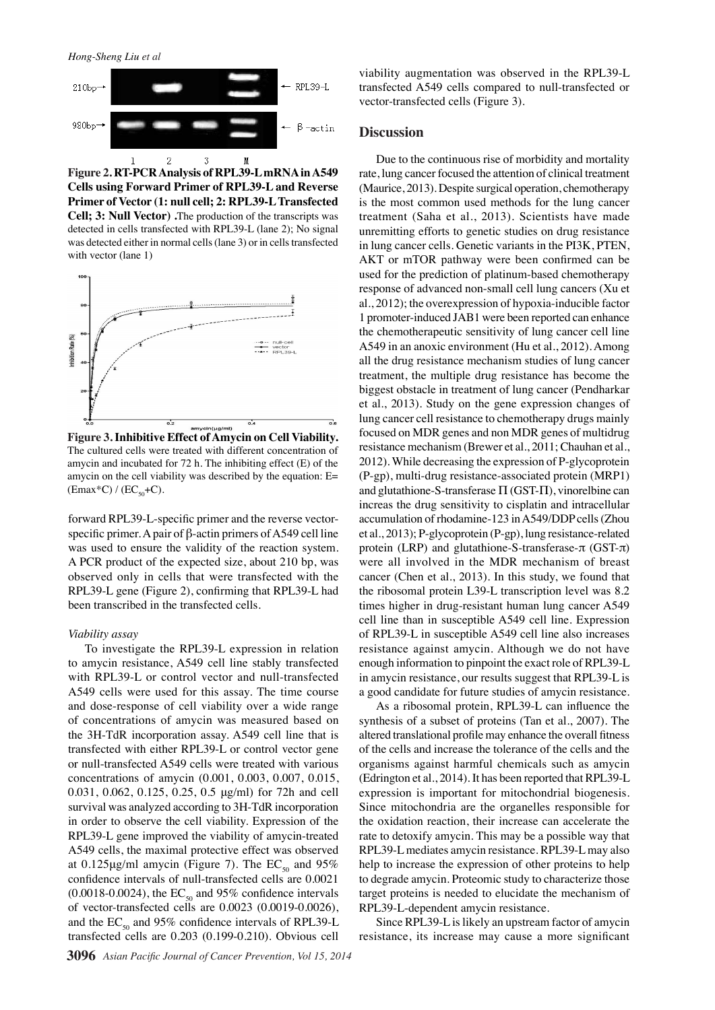*Hong-Sheng Liu et al*



**Figure 2. RT-PCR Analysis of RPL39-L mRNA in A549 Cells using Forward Primer of RPL39-L and Reverse Primer of Vector (1: null cell; 2: RPL39-L Transfected** 

75.0 75.0 detected in cells transfected with RPL39-L (lane 2); No signal was detected either in normal cells (lane 3) or in cells transfected with vector (lane 1)



**Figure 3. Inhibitive Effect of Amycin on Cell Viability.**  The cultured cells were treated with different concentration of amycin and incubated for 72 h. The inhibiting effect (E) of the amycin on the cell viability was described by the equation: E=  $(Emax*C) / (EC_{50} + C).$ 

forward RPL39-L-specific primer and the reverse vectorspecific primer. A pair of β-actin primers of A549 cell line was used to ensure the validity of the reaction system. A PCR product of the expected size, about 210 bp, was observed only in cells that were transfected with the RPL39-L gene (Figure 2), confirming that RPL39-L had been transcribed in the transfected cells.

#### *Viability assay*

To investigate the RPL39-L expression in relation to amycin resistance, A549 cell line stably transfected with RPL39-L or control vector and null-transfected A549 cells were used for this assay. The time course and dose-response of cell viability over a wide range of concentrations of amycin was measured based on the 3H-TdR incorporation assay. A549 cell line that is transfected with either RPL39-L or control vector gene or null-transfected A549 cells were treated with various concentrations of amycin (0.001, 0.003, 0.007, 0.015, 0.031, 0.062, 0.125, 0.25, 0.5 μg/ml) for 72h and cell survival was analyzed according to 3H-TdR incorporation in order to observe the cell viability. Expression of the RPL39-L gene improved the viability of amycin-treated A549 cells, the maximal protective effect was observed at 0.125 $\mu$ g/ml amycin (Figure 7). The EC<sub>50</sub> and 95% confidence intervals of null-transfected cells are 0.0021  $(0.0018-0.0024)$ , the EC<sub>50</sub> and 95% confidence intervals of vector-transfected cells are 0.0023 (0.0019-0.0026), and the  $EC_{50}$  and 95% confidence intervals of RPL39-L transfected cells are 0.203 (0.199-0.210). Obvious cell

viability augmentation was observed in the RPL39-L transfected A549 cells compared to null-transfected or vector-transfected cells (Figure 3).

## **Discussion**

Due to the continuous rise of morbidity and mortality rate, lung cancer focused the attention of clinical treatment (Maurice, 2013). Despite surgical operation, chemotherapy is the most common used methods for the lung cancer Cell; 3: Null Vector) .The production of the transcripts wa**s00.0** reatment (Saha et al., 2013) Scientists have made

> unrem  $\overline{6.3}$  for  $\overline{10.1}$  ene  $\overline{20.3}$  lies on drug resistance in lung cancer cells. Genetic variants in the PI3K, PTEN,  $AKT \longrightarrow PR$  by een 25.0 **med can be** 30.0

**20.3 10.1 10.1 energency**<br> **20.3 12.5 13.8 13.8 13.8 13.8 13.9 13.9 13.9 13.9 13.9 13.9 13.9 13.9** 

**20.3 6.3 10.1**

 $\mu$ K ay and  $\mu$  the prediction of plants of plants and penalty plants of plants of plants of plants of plants of plants and  $\mu$  being a set of plants of plants of plants of plants of plants of plants of plants of plant respon $\begin{bmatrix} 1 \end{bmatrix}$   $\begin{bmatrix} 1 \end{bmatrix}$  and  $\begin{bmatrix} 46.8 \end{bmatrix}$  bn- $\begin{bmatrix} 2 \end{bmatrix}$   $\begin{bmatrix} 2 \end{bmatrix}$   $\begin{bmatrix} 2 \end{bmatrix}$   $\begin{bmatrix} 2 \end{bmatrix}$   $\begin{bmatrix} 2 \end{bmatrix}$   $\begin{bmatrix} 2 \end{bmatrix}$   $\begin{bmatrix} 2 \end{bmatrix}$   $\begin{bmatrix} 3 \end{bmatrix}$   $\begin{bmatrix} 2 \end{bmatrix}$  al., 20<sup> $\parallel$  30.3</sup>  $\parallel$  over  $\parallel$  or  $\parallel$  ssid  $\parallel$   $\parallel$  po $\parallel$   $\parallel$  ucible factor  $\begin{array}{|c|c|c|c|c|} \hline \end{array}$  duc  $\begin{array}{|c|c|c|c|c|c|} \hline \end{array}$  **31.3**  $\begin{array}{|c|c|c|c|c|}\hline \end{array}$  30.0 the chemotherapeutic sensitivity of lung cancell line  $A549$   $\vert \text{oxi} \vert$   $\vert \text{onr} \vert$   $\vert \text{u e} \vert$   $\vert \text{12}$ ). Among  $\text{e}$ sis $\parallel$  heclessists  $\parallel$  lung cancer treatment 31.3  $\frac{m}{1}$  38.0 drug resistance has become the  $\frac{12}{31.3}$   $\frac{1}{21.3}$   $\frac{1}{21.3}$   $\frac{1}{21.3}$   $\frac{1}{21.3}$   $\frac{1}{21.3}$   $\frac{1}{21.3}$   $\frac{1}{21.3}$   $\frac{1}{21.3}$   $\frac{1}{21.3}$   $\frac{1}{21.3}$   $\frac{1}{21.3}$   $\frac{1}{21.3}$   $\frac{1}{21.3}$   $\frac{1}{21.3}$   $\frac{1}{21.3}$   $\frac{1}{21.3}$ et al.,  $\|\mathbf{S}\mathbf{t}\|$  the exp changes of **Q**ung cancer cell resistance to chemotherapy drugs mainly focused on MDR genes and non MDR genes of multidrug resistance mechanism (Brewer et al., 2014). 2012). While decreasing the expression of P-glycoprotein (P-gp), multi-drug resistance-associated protein (MRP1) and glutathione-S-transferase Π (GST-Π), vinorelbine can increas the drug sensitivity to is platin and intracellular 25.0 25.0 50.0 50.0 Newly diagnosed without treatment Newly diagnosed with treatment Persistence or recurrence Remission **54.2 54.2 46.8 56.3 38.0 31.3 38.0 31.3**Newly diagnosed without treatment Newly diagnosed with treatment **PEMDR** ge**lg**<br> **L**eal., 2014<br> **P**erssion or<br> **PERSISION**<br> **PERSISION**<br> **PERSISION**<br> **PERSISION**<br> **PERSISION**<br> **PERSISION 56.3**  $\begin{bmatrix} 1 \sqrt{a} & 46.8 & 911 \ \text{ov} & 46.8 & 911 \ \text{svi} & 1 \sqrt{a} & 54.2 & \text{ncip} \\ 1 \sqrt{a} & 54.2 & \text{ncip} & 31.3 & \text{can enhance} \\ \text{rap} & \text{nsi} & \text{rf} & \text{lt} \\ \text{oxi} & \text{onr} & \text{fu} & \text{cer cell line} \\ \text{sis} & \text{rec} & \text{stu} & \text{lupg cancer} \\ \text{31.3} & \text{re} & \text{cm} & \text{tan} \\ \$ 

accumulation of rhodamine-12 $\frac{2}{3}$  in A549/DDP cells (Zhou et al.,  $201\overline{\mathbf{B}}$ ; P-glycoprotein (P-gp), lung resistance-related protein ( $\mathbf{\vec{R}}$ P) and  $\mathbf{\vec{R}}$ utathione-S-transferase- $\pi$  (GST- $\pi$ ) were all  $\frac{2}{2}$  volved  $\frac{2}{2}$  the MDR mechanism of breast cancer ( $\mathcal{F}$ en et al., 2013). In this study, we found that the ribosomal protein L39-L transcription level was 8.2 times higher in drug-resistant human lung cancer A549 cell line than in susceptible A549 cell line. Expression of RPL39-L in susceptible A549 cell line also increases resistance against amycin. Although we do not have enough information to pinpoint the exact role of RPL39-L in amycin resistance, our results suggest that RPL39-L is a good candidate for future studies of amycin resistance.

As a ribosomal protein, RPL39-L can influence the synthesis of a subset of proteins (Tan et al., 2007). The altered translational profile may enhance the overall fitness of the cells and increase the tolerance of the cells and the organisms against harmful chemicals such as amycin (Edrington et al., 2014). It has been reported that RPL39-L expression is important for mitochondrial biogenesis. Since mitochondria are the organelles responsible for the oxidation reaction, their increase can accelerate the rate to detoxify amycin. This may be a possible way that RPL39-L mediates amycin resistance. RPL39-L may also help to increase the expression of other proteins to help to degrade amycin. Proteomic study to characterize those target proteins is needed to elucidate the mechanism of RPL39-L-dependent amycin resistance.

Since RPL39-L is likely an upstream factor of amycin resistance, its increase may cause a more significant



None None